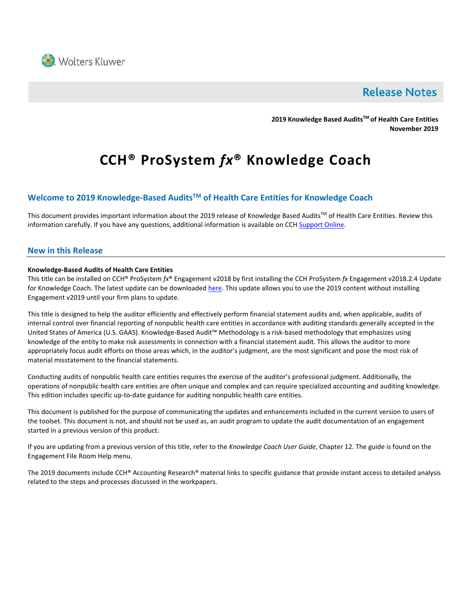

## **Release Notes**

**2019 Knowledge Based AuditsTM of Health Care Entities November 2019**

# **CCH® ProSystem** *fx***® Knowledge Coach**

### **Welcome to 2019 Knowledge-Based AuditsTM of Health Care Entities for Knowledge Coach**

This document provides important information about the 2019 release of Knowledge Based Audits™ of Health Care Entities. Review this information carefully. If you have any questions, additional information is available on CCH [Support Online.](http://support.cch.com/productsupport/)

#### **New in this Release**

#### **Knowledge-Based Audits of Health Care Entities**

This title can be installed on CCH® ProSystem *fx*® Engagement v2018 by first installing the CCH ProSystem *fx* Engagement v2018.2.4 Update for Knowledge Coach. The latest update can be downloaded [here.](https://support.cch.com/updates/Engagement/release2018/release2018.aspx) This update allows you to use the 2019 content without installing Engagement v2019 until your firm plans to update.

This title is designed to help the auditor efficiently and effectively perform financial statement audits and, when applicable, audits of internal control over financial reporting of nonpublic health care entities in accordance with auditing standards generally accepted in the United States of America (U.S. GAAS). Knowledge-Based Audit™ Methodology is a risk-based methodology that emphasizes using knowledge of the entity to make risk assessments in connection with a financial statement audit. This allows the auditor to more appropriately focus audit efforts on those areas which, in the auditor's judgment, are the most significant and pose the most risk of material misstatement to the financial statements.

Conducting audits of nonpublic health care entities requires the exercise of the auditor's professional judgment. Additionally, the operations of nonpublic health care entities are often unique and complex and can require specialized accounting and auditing knowledge. This edition includes specific up-to-date guidance for auditing nonpublic health care entities.

This document is published for the purpose of communicating the updates and enhancements included in the current version to users of the toolset. This document is not, and should not be used as, an audit program to update the audit documentation of an engagement started in a previous version of this product.

If you are updating from a previous version of this title, refer to the *Knowledge Coach User Guide*, Chapter 12. The guide is found on the Engagement File Room Help menu.

The 2019 documents include CCH® Accounting Research® material links to specific guidance that provide instant access to detailed analysis related to the steps and processes discussed in the workpapers.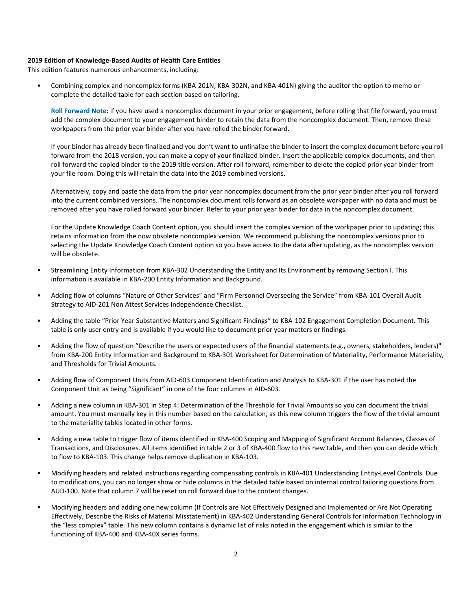#### **2019 Edition of Knowledge-Based Audits of Health Care Entities**

This edition features numerous enhancements, including:

• Combining complex and noncomplex forms (KBA-201N, KBA-302N, and KBA-401N) giving the auditor the option to memo or complete the detailed table for each section based on tailoring.

**Roll Forward Note**: If you have used a noncomplex document in your prior engagement, before rolling that file forward, you must add the complex document to your engagement binder to retain the data from the noncomplex document. Then, remove these workpapers from the prior year binder after you have rolled the binder forward.

If your binder has already been finalized and you don't want to unfinalize the binder to insert the complex document before you roll forward from the 2018 version, you can make a copy of your finalized binder. Insert the applicable complex documents, and then roll forward the copied binder to the 2019 title version. After roll forward, remember to delete the copied prior year binder from your file room. Doing this will retain the data into the 2019 combined versions.

Alternatively, copy and paste the data from the prior year noncomplex document from the prior year binder after you roll forward into the current combined versions. The noncomplex document rolls forward as an obsolete workpaper with no data and must be removed after you have rolled forward your binder. Refer to your prior year binder for data in the noncomplex document.

For the Update Knowledge Coach Content option, you should insert the complex version of the workpaper prior to updating; this retains information from the now obsolete noncomplex version. We recommend publishing the noncomplex versions prior to selecting the Update Knowledge Coach Content option so you have access to the data after updating, as the noncomplex version will be obsolete.

- Streamlining Entity Information from KBA-302 Understanding the Entity and Its Environment by removing Section I. This information is available in KBA-200 Entity Information and Background.
- Adding flow of columns "Nature of Other Services" and "Firm Personnel Overseeing the Service" from KBA-101 Overall Audit Strategy to AID-201 Non Attest Services Independence Checklist.
- Adding the table "Prior Year Substantive Matters and Significant Findings" to KBA-102 Engagement Completion Document. This table is only user entry and is available if you would like to document prior year matters or findings.
- Adding the flow of question "Describe the users or expected users of the financial statements (e.g., owners, stakeholders, lenders)" from KBA-200 Entity Information and Background to KBA-301 Worksheet for Determination of Materiality, Performance Materiality, and Thresholds for Trivial Amounts.
- Adding flow of Component Units from AID-603 Component Identification and Analysis to KBA-301 if the user has noted the Component Unit as being "Significant" in one of the four columns in AID-603.
- Adding a new column in KBA-301 in Step 4: Determination of the Threshold for Trivial Amounts so you can document the trivial amount. You must manually key in this number based on the calculation, as this new column triggers the flow of the trivial amount to the materiality tables located in other forms.
- Adding a new table to trigger flow of items identified in KBA-400 Scoping and Mapping of Significant Account Balances, Classes of Transactions, and Disclosures. All items identified in table 2 or 3 of KBA-400 flow to this new table, and then you can decide which to flow to KBA-103. This change helps remove duplication in KBA-103.
- Modifying headers and related instructions regarding compensating controls in KBA-401 Understanding Entity-Level Controls. Due to modifications, you can no longer show or hide columns in the detailed table based on internal control tailoring questions from AUD-100. Note that column 7 will be reset on roll forward due to the content changes.
- Modifying headers and adding one new column (If Controls are Not Effectively Designed and Implemented or Are Not Operating Effectively, Describe the Risks of Material Misstatement) in KBA-402 Understanding General Controls for Information Technology in the "less complex" table. This new column contains a dynamic list of risks noted in the engagement which is similar to the functioning of KBA-400 and KBA-40X series forms.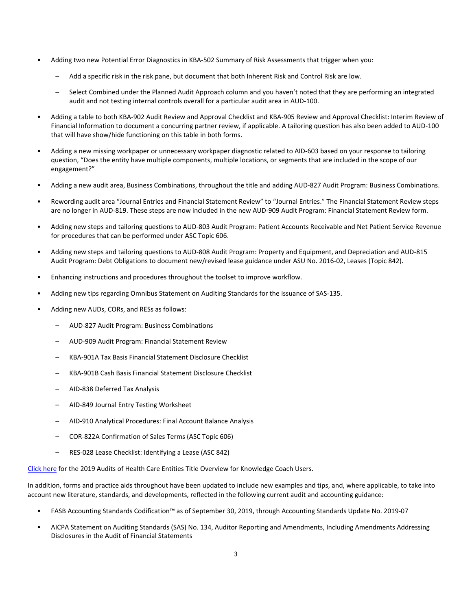- Adding two new Potential Error Diagnostics in KBA-502 Summary of Risk Assessments that trigger when you:
	- Add a specific risk in the risk pane, but document that both Inherent Risk and Control Risk are low.
	- Select Combined under the Planned Audit Approach column and you haven't noted that they are performing an integrated audit and not testing internal controls overall for a particular audit area in AUD-100.
- Adding a table to both KBA-902 Audit Review and Approval Checklist and KBA-905 Review and Approval Checklist: Interim Review of Financial Information to document a concurring partner review, if applicable. A tailoring question has also been added to AUD-100 that will have show/hide functioning on this table in both forms.
- Adding a new missing workpaper or unnecessary workpaper diagnostic related to AID-603 based on your response to tailoring question, "Does the entity have multiple components, multiple locations, or segments that are included in the scope of our engagement?"
- Adding a new audit area, Business Combinations, throughout the title and adding AUD-827 Audit Program: Business Combinations.
- Rewording audit area "Journal Entries and Financial Statement Review" to "Journal Entries." The Financial Statement Review steps are no longer in AUD-819. These steps are now included in the new AUD-909 Audit Program: Financial Statement Review form.
- Adding new steps and tailoring questions to AUD-803 Audit Program: Patient Accounts Receivable and Net Patient Service Revenue for procedures that can be performed under ASC Topic 606.
- Adding new steps and tailoring questions to AUD-808 Audit Program: Property and Equipment, and Depreciation and AUD-815 Audit Program: Debt Obligations to document new/revised lease guidance under ASU No. 2016-02, Leases (Topic 842).
- Enhancing instructions and procedures throughout the toolset to improve workflow.
- Adding new tips regarding Omnibus Statement on Auditing Standards for the issuance of SAS-135.
- Adding new AUDs, CORs, and RESs as follows:
	- AUD-827 Audit Program: Business Combinations
	- AUD-909 Audit Program: Financial Statement Review
	- KBA-901A Tax Basis Financial Statement Disclosure Checklist
	- KBA-901B Cash Basis Financial Statement Disclosure Checklist
	- AID-838 Deferred Tax Analysis
	- AID-849 Journal Entry Testing Worksheet
	- AID-910 Analytical Procedures: Final Account Balance Analysis
	- COR-822A Confirmation of Sales Terms (ASC Topic 606)
	- RES-028 Lease Checklist: Identifying a Lease (ASC 842)

[Click here](http://support.cch.com/updates/KnowledgeCoach/pdf/guides_tab/2019%20Health%20Care%20Entities%20Title%20Overview%20for%20Knowledge%20Coach%20Users.pdf) for the 2019 Audits of Health Care Entities Title Overview for Knowledge Coach Users.

In addition, forms and practice aids throughout have been updated to include new examples and tips, and, where applicable, to take into account new literature, standards, and developments, reflected in the following current audit and accounting guidance:

- FASB Accounting Standards Codification™ as of September 30, 2019, through Accounting Standards Update No. 2019-07
- AICPA Statement on Auditing Standards (SAS) No. 134, Auditor Reporting and Amendments, Including Amendments Addressing Disclosures in the Audit of Financial Statements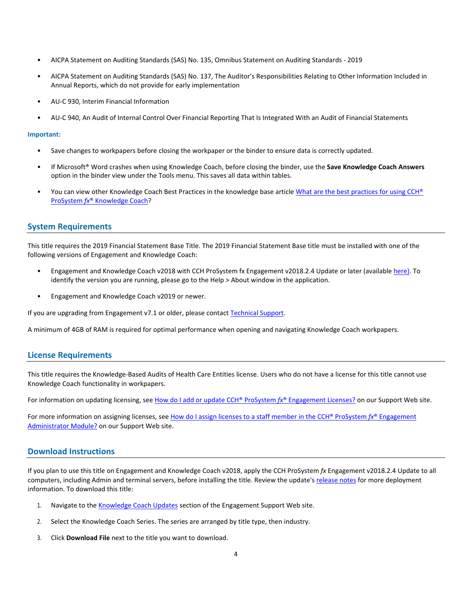- AICPA Statement on Auditing Standards (SAS) No. 135, Omnibus Statement on Auditing Standards 2019
- AICPA Statement on Auditing Standards (SAS) No. 137, The Auditor's Responsibilities Relating to Other Information Included in Annual Reports, which do not provide for early implementation
- AU-C 930, Interim Financial Information
- AU-C 940, An Audit of Internal Control Over Financial Reporting That Is Integrated With an Audit of Financial Statements

#### **Important:**

- Save changes to workpapers before closing the workpaper or the binder to ensure data is correctly updated.
- If Microsoft® Word crashes when using Knowledge Coach, before closing the binder, use the **Save Knowledge Coach Answers** option in the binder view under the Tools menu. This saves all data within tables.
- You can view other Knowledge Coach Best Practices in the knowledge base article [What are the best practices for using CCH®](https://support.cch.com/kb/solution/000034942/sw34947) ProSystem *fx*® [Knowledge Coach?](https://support.cch.com/kb/solution/000034942/sw34947)

#### **System Requirements**

This title requires the 2019 Financial Statement Base Title. The 2019 Financial Statement Base title must be installed with one of the following versions of Engagement and Knowledge Coach:

- Engagement and Knowledge Coach v2018 with CCH ProSystem fx Engagement v2018.2.4 Update or later (available [here\)](https://support.cch.com/updates/Engagement/release2018/release2018.aspx). To identify the version you are running, please go to the Help > About window in the application.
- Engagement and Knowledge Coach v2019 or newer.

If you are upgrading from Engagement v7.1 or older, please contact [Technical Support.](https://support.cch.com/contact)

A minimum of 4GB of RAM is required for optimal performance when opening and navigating Knowledge Coach workpapers.

#### **License Requirements**

This title requires the Knowledge-Based Audits of Health Care Entities license. Users who do not have a license for this title cannot use Knowledge Coach functionality in workpapers.

For information on updating licensing, see [How do I add or update CCH®](https://support.cch.com/kb/solution.aspx/sw3937) ProSystem *fx*® Engagement Licenses? on our Support Web site.

For more information on assigning licenses, see How do I assign licenses [to a staff member in the CCH®](https://support.cch.com/kb/solution.aspx/sw3943) ProSystem *fx*® Engagement [Administrator Module?](https://support.cch.com/kb/solution.aspx/sw3943) on our Support Web site.

#### **Download Instructions**

If you plan to use this title on Engagement and Knowledge Coach v2018, apply the CCH ProSystem *fx* Engagement v2018.2.4 Update to all computers, including Admin and terminal servers, before installing the title. Review the update's [release notes](https://d2iceilwdglxpz.cloudfront.net/release_notes/CCH%20ProSystem%20fx%20Engagement%202018.2.4%20Release%20Notes.pdf) for more deployment information. To download this title:

- 1. Navigate to the [Knowledge Coach Updates](http://support.cch.com/updates/KnowledgeCoach) section of the Engagement Support Web site.
- 2. Select the Knowledge Coach Series. The series are arranged by title type, then industry.
- 3. Click **Download File** next to the title you want to download.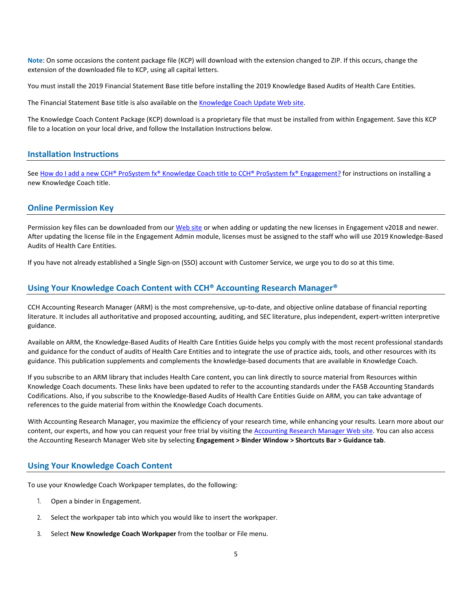**Note**: On some occasions the content package file (KCP) will download with the extension changed to ZIP. If this occurs, change the extension of the downloaded file to KCP, using all capital letters.

You must install the 2019 Financial Statement Base title before installing the 2019 Knowledge Based Audits of Health Care Entities.

The Financial Statement Base title is also available on th[e Knowledge Coach Update Web](http://support.cch.com/updates/KnowledgeCoach) site.

The Knowledge Coach Content Package (KCP) download is a proprietary file that must be installed from within Engagement. Save this KCP file to a location on your local drive, and follow the Installation Instructions below.

#### **Installation Instructions**

See [How do I add a new CCH® ProSystem fx® Knowledge Coach title to CCH® ProSystem fx® Engagement?](https://support.cch.com/kb/solution/000033707/sw30271) for instructions on installing a new Knowledge Coach title.

#### **Online Permission Key**

Permission key files can be downloaded from our [Web](https://prosystemfxsupport.tax.cchgroup.com/permkey/download.aspx) site or when adding or updating the new licenses in Engagement v2018 and newer. After updating the license file in the Engagement Admin module, licenses must be assigned to the staff who will use 2019 Knowledge-Based Audits of Health Care Entities.

If you have not already established a Single Sign-on (SSO) account with Customer Service, we urge you to do so at this time.

#### **Using Your Knowledge Coach Content with CCH® Accounting Research Manager®**

CCH Accounting Research Manager (ARM) is the most comprehensive, up-to-date, and objective online database of financial reporting literature. It includes all authoritative and proposed accounting, auditing, and SEC literature, plus independent, expert-written interpretive guidance.

Available on ARM, the Knowledge-Based Audits of Health Care Entities Guide helps you comply with the most recent professional standards and guidance for the conduct of audits of Health Care Entities and to integrate the use of practice aids, tools, and other resources with its guidance. This publication supplements and complements the knowledge-based documents that are available in Knowledge Coach.

If you subscribe to an ARM library that includes Health Care content, you can link directly to source material from Resources within Knowledge Coach documents. These links have been updated to refer to the accounting standards under the FASB Accounting Standards Codifications. Also, if you subscribe to the Knowledge-Based Audits of Health Care Entities Guide on ARM, you can take advantage of references to the guide material from within the Knowledge Coach documents.

With Accounting Research Manager, you maximize the efficiency of your research time, while enhancing your results. Learn more about our content, our experts, and how you can request your free trial by visiting the [Accounting Research Manager Web](http://www.accountingresearchmanager.com/) site. You can also access the Accounting Research Manager Web site by selecting **Engagement > Binder Window > Shortcuts Bar > Guidance tab**.

#### **Using Your Knowledge Coach Content**

To use your Knowledge Coach Workpaper templates, do the following:

- 1. Open a binder in Engagement.
- 2. Select the workpaper tab into which you would like to insert the workpaper.
- 3. Select **New Knowledge Coach Workpaper** from the toolbar or File menu.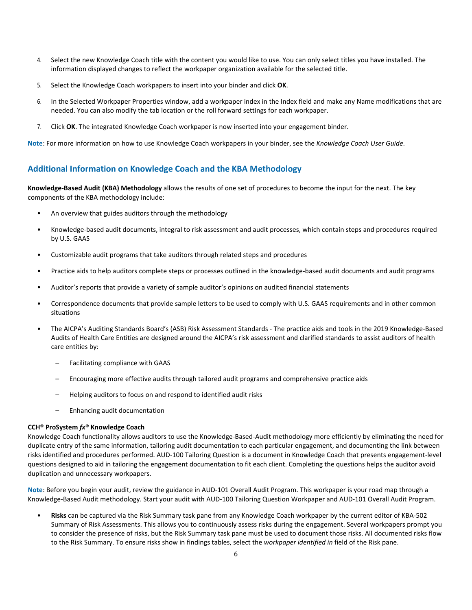- 4. Select the new Knowledge Coach title with the content you would like to use. You can only select titles you have installed. The information displayed changes to reflect the workpaper organization available for the selected title.
- 5. Select the Knowledge Coach workpapers to insert into your binder and click **OK**.
- 6. In the Selected Workpaper Properties window, add a workpaper index in the Index field and make any Name modifications that are needed. You can also modify the tab location or the roll forward settings for each workpaper.
- 7. Click **OK**. The integrated Knowledge Coach workpaper is now inserted into your engagement binder.

**Note**: For more information on how to use Knowledge Coach workpapers in your binder, see the *Knowledge Coach User Guide*.

#### **Additional Information on Knowledge Coach and the KBA Methodology**

**Knowledge-Based Audit (KBA) Methodology** allows the results of one set of procedures to become the input for the next. The key components of the KBA methodology include:

- An overview that guides auditors through the methodology
- Knowledge-based audit documents, integral to risk assessment and audit processes, which contain steps and procedures required by U.S. GAAS
- Customizable audit programs that take auditors through related steps and procedures
- Practice aids to help auditors complete steps or processes outlined in the knowledge-based audit documents and audit programs
- Auditor's reports that provide a variety of sample auditor's opinions on audited financial statements
- Correspondence documents that provide sample letters to be used to comply with U.S. GAAS requirements and in other common situations
- The AICPA's Auditing Standards Board's (ASB) Risk Assessment Standards The practice aids and tools in the 2019 Knowledge-Based Audits of Health Care Entities are designed around the AICPA's risk assessment and clarified standards to assist auditors of health care entities by:
	- Facilitating compliance with GAAS
	- Encouraging more effective audits through tailored audit programs and comprehensive practice aids
	- Helping auditors to focus on and respond to identified audit risks
	- Enhancing audit documentation

#### **CCH® ProSystem** *fx***® Knowledge Coach**

Knowledge Coach functionality allows auditors to use the Knowledge-Based-Audit methodology more efficiently by eliminating the need for duplicate entry of the same information, tailoring audit documentation to each particular engagement, and documenting the link between risks identified and procedures performed. AUD-100 Tailoring Question is a document in Knowledge Coach that presents engagement-level questions designed to aid in tailoring the engagement documentation to fit each client. Completing the questions helps the auditor avoid duplication and unnecessary workpapers.

**Note**: Before you begin your audit, review the guidance in AUD-101 Overall Audit Program. This workpaper is your road map through a Knowledge-Based Audit methodology. Start your audit with AUD-100 Tailoring Question Workpaper and AUD-101 Overall Audit Program.

• **Risks** can be captured via the Risk Summary task pane from any Knowledge Coach workpaper by the current editor of KBA-502 Summary of Risk Assessments. This allows you to continuously assess risks during the engagement. Several workpapers prompt you to consider the presence of risks, but the Risk Summary task pane must be used to document those risks. All documented risks flow to the Risk Summary. To ensure risks show in findings tables, select the *workpaper identified in* field of the Risk pane.